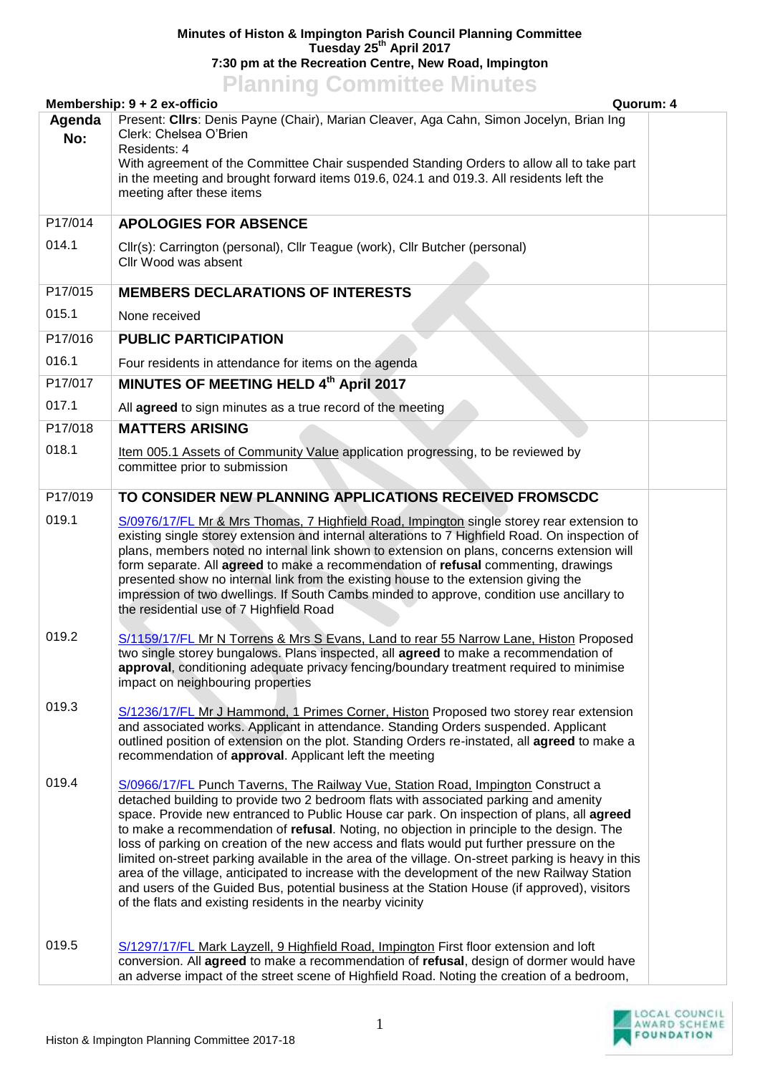## **Minutes of Histon & Impington Parish Council Planning Committee Tuesday 25th April 2017 7:30 pm at the Recreation Centre, New Road, Impington**

## **Planning Committee Minutes**

|               | Membership: 9 + 2 ex-officio                                                                                                                                                                                                                                                                                                                                                                                                                                                                                                                                                                                                                                                                                                                                                                                                        | Quorum: 4 |
|---------------|-------------------------------------------------------------------------------------------------------------------------------------------------------------------------------------------------------------------------------------------------------------------------------------------------------------------------------------------------------------------------------------------------------------------------------------------------------------------------------------------------------------------------------------------------------------------------------------------------------------------------------------------------------------------------------------------------------------------------------------------------------------------------------------------------------------------------------------|-----------|
| Agenda<br>No: | Present: Cllrs: Denis Payne (Chair), Marian Cleaver, Aga Cahn, Simon Jocelyn, Brian Ing<br>Clerk: Chelsea O'Brien<br>Residents: 4<br>With agreement of the Committee Chair suspended Standing Orders to allow all to take part<br>in the meeting and brought forward items 019.6, 024.1 and 019.3. All residents left the<br>meeting after these items                                                                                                                                                                                                                                                                                                                                                                                                                                                                              |           |
| P17/014       | <b>APOLOGIES FOR ABSENCE</b>                                                                                                                                                                                                                                                                                                                                                                                                                                                                                                                                                                                                                                                                                                                                                                                                        |           |
| 014.1         | Cllr(s): Carrington (personal), Cllr Teague (work), Cllr Butcher (personal)<br>Cllr Wood was absent                                                                                                                                                                                                                                                                                                                                                                                                                                                                                                                                                                                                                                                                                                                                 |           |
| P17/015       | <b>MEMBERS DECLARATIONS OF INTERESTS</b>                                                                                                                                                                                                                                                                                                                                                                                                                                                                                                                                                                                                                                                                                                                                                                                            |           |
| 015.1         | None received                                                                                                                                                                                                                                                                                                                                                                                                                                                                                                                                                                                                                                                                                                                                                                                                                       |           |
| P17/016       | <b>PUBLIC PARTICIPATION</b>                                                                                                                                                                                                                                                                                                                                                                                                                                                                                                                                                                                                                                                                                                                                                                                                         |           |
| 016.1         | Four residents in attendance for items on the agenda                                                                                                                                                                                                                                                                                                                                                                                                                                                                                                                                                                                                                                                                                                                                                                                |           |
| P17/017       | MINUTES OF MEETING HELD 4th April 2017                                                                                                                                                                                                                                                                                                                                                                                                                                                                                                                                                                                                                                                                                                                                                                                              |           |
| 017.1         | All agreed to sign minutes as a true record of the meeting                                                                                                                                                                                                                                                                                                                                                                                                                                                                                                                                                                                                                                                                                                                                                                          |           |
| P17/018       | <b>MATTERS ARISING</b>                                                                                                                                                                                                                                                                                                                                                                                                                                                                                                                                                                                                                                                                                                                                                                                                              |           |
| 018.1         | Item 005.1 Assets of Community Value application progressing, to be reviewed by<br>committee prior to submission                                                                                                                                                                                                                                                                                                                                                                                                                                                                                                                                                                                                                                                                                                                    |           |
| P17/019       | TO CONSIDER NEW PLANNING APPLICATIONS RECEIVED FROMSCDC                                                                                                                                                                                                                                                                                                                                                                                                                                                                                                                                                                                                                                                                                                                                                                             |           |
| 019.1         | S/0976/17/FL Mr & Mrs Thomas, 7 Highfield Road, Impington single storey rear extension to<br>existing single storey extension and internal alterations to 7 Highfield Road. On inspection of<br>plans, members noted no internal link shown to extension on plans, concerns extension will<br>form separate. All agreed to make a recommendation of refusal commenting, drawings<br>presented show no internal link from the existing house to the extension giving the<br>impression of two dwellings. If South Cambs minded to approve, condition use ancillary to<br>the residential use of 7 Highfield Road                                                                                                                                                                                                                     |           |
| 019.2         | S/1159/17/FL Mr N Torrens & Mrs S Evans, Land to rear 55 Narrow Lane, Histon Proposed<br>two single storey bungalows. Plans inspected, all agreed to make a recommendation of<br>approval, conditioning adequate privacy fencing/boundary treatment required to minimise<br>impact on neighbouring properties                                                                                                                                                                                                                                                                                                                                                                                                                                                                                                                       |           |
| 019.3         | S/1236/17/FL Mr J Hammond, 1 Primes Corner, Histon Proposed two storey rear extension<br>and associated works. Applicant in attendance. Standing Orders suspended. Applicant<br>outlined position of extension on the plot. Standing Orders re-instated, all agreed to make a<br>recommendation of approval. Applicant left the meeting                                                                                                                                                                                                                                                                                                                                                                                                                                                                                             |           |
| 019.4         | S/0966/17/FL Punch Taverns, The Railway Vue, Station Road, Impington Construct a<br>detached building to provide two 2 bedroom flats with associated parking and amenity<br>space. Provide new entranced to Public House car park. On inspection of plans, all agreed<br>to make a recommendation of refusal. Noting, no objection in principle to the design. The<br>loss of parking on creation of the new access and flats would put further pressure on the<br>limited on-street parking available in the area of the village. On-street parking is heavy in this<br>area of the village, anticipated to increase with the development of the new Railway Station<br>and users of the Guided Bus, potential business at the Station House (if approved), visitors<br>of the flats and existing residents in the nearby vicinity |           |
| 019.5         | S/1297/17/FL Mark Layzell, 9 Highfield Road, Impington First floor extension and loft<br>conversion. All agreed to make a recommendation of refusal, design of dormer would have<br>an adverse impact of the street scene of Highfield Road. Noting the creation of a bedroom,                                                                                                                                                                                                                                                                                                                                                                                                                                                                                                                                                      |           |

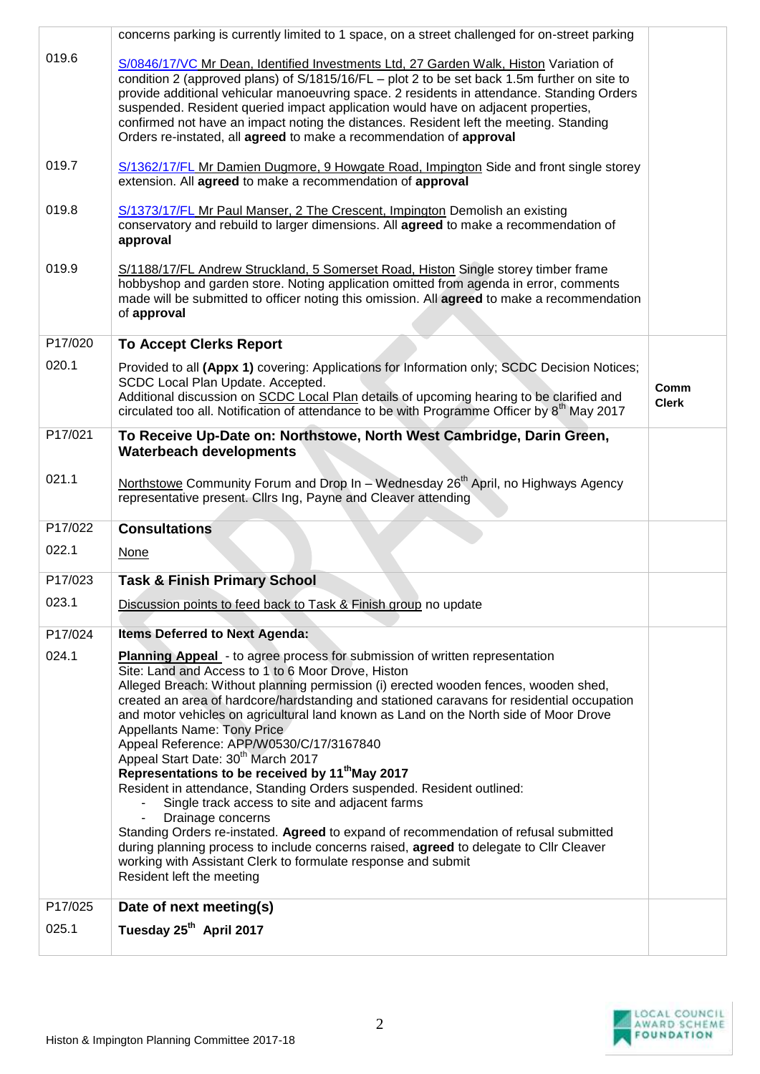|         | concerns parking is currently limited to 1 space, on a street challenged for on-street parking                                                                                                                                                                                                                                                                                                                                                                                                                                                                                                                                                                                                                                                                                                                                                                                                                                                                                                                                                     |                      |
|---------|----------------------------------------------------------------------------------------------------------------------------------------------------------------------------------------------------------------------------------------------------------------------------------------------------------------------------------------------------------------------------------------------------------------------------------------------------------------------------------------------------------------------------------------------------------------------------------------------------------------------------------------------------------------------------------------------------------------------------------------------------------------------------------------------------------------------------------------------------------------------------------------------------------------------------------------------------------------------------------------------------------------------------------------------------|----------------------|
| 019.6   | S/0846/17/VC Mr Dean, Identified Investments Ltd, 27 Garden Walk, Histon Variation of<br>condition 2 (approved plans) of S/1815/16/FL - plot 2 to be set back 1.5m further on site to<br>provide additional vehicular manoeuvring space. 2 residents in attendance. Standing Orders<br>suspended. Resident queried impact application would have on adjacent properties,<br>confirmed not have an impact noting the distances. Resident left the meeting. Standing<br>Orders re-instated, all agreed to make a recommendation of approval                                                                                                                                                                                                                                                                                                                                                                                                                                                                                                          |                      |
| 019.7   | S/1362/17/FL Mr Damien Dugmore, 9 Howgate Road, Impington Side and front single storey<br>extension. All agreed to make a recommendation of approval                                                                                                                                                                                                                                                                                                                                                                                                                                                                                                                                                                                                                                                                                                                                                                                                                                                                                               |                      |
| 019.8   | S/1373/17/FL Mr Paul Manser, 2 The Crescent, Impington Demolish an existing<br>conservatory and rebuild to larger dimensions. All agreed to make a recommendation of<br>approval                                                                                                                                                                                                                                                                                                                                                                                                                                                                                                                                                                                                                                                                                                                                                                                                                                                                   |                      |
| 019.9   | S/1188/17/FL Andrew Struckland, 5 Somerset Road, Histon Single storey timber frame<br>hobbyshop and garden store. Noting application omitted from agenda in error, comments<br>made will be submitted to officer noting this omission. All agreed to make a recommendation<br>of approval                                                                                                                                                                                                                                                                                                                                                                                                                                                                                                                                                                                                                                                                                                                                                          |                      |
| P17/020 | <b>To Accept Clerks Report</b>                                                                                                                                                                                                                                                                                                                                                                                                                                                                                                                                                                                                                                                                                                                                                                                                                                                                                                                                                                                                                     |                      |
| 020.1   | Provided to all (Appx 1) covering: Applications for Information only; SCDC Decision Notices;<br>SCDC Local Plan Update. Accepted.<br>Additional discussion on SCDC Local Plan details of upcoming hearing to be clarified and<br>circulated too all. Notification of attendance to be with Programme Officer by 8 <sup>th</sup> May 2017                                                                                                                                                                                                                                                                                                                                                                                                                                                                                                                                                                                                                                                                                                           | Comm<br><b>Clerk</b> |
| P17/021 | To Receive Up-Date on: Northstowe, North West Cambridge, Darin Green,<br><b>Waterbeach developments</b>                                                                                                                                                                                                                                                                                                                                                                                                                                                                                                                                                                                                                                                                                                                                                                                                                                                                                                                                            |                      |
| 021.1   | Northstowe Community Forum and Drop In – Wednesday 26 <sup>th</sup> April, no Highways Agency<br>representative present. Cllrs Ing, Payne and Cleaver attending                                                                                                                                                                                                                                                                                                                                                                                                                                                                                                                                                                                                                                                                                                                                                                                                                                                                                    |                      |
| P17/022 | <b>Consultations</b>                                                                                                                                                                                                                                                                                                                                                                                                                                                                                                                                                                                                                                                                                                                                                                                                                                                                                                                                                                                                                               |                      |
| 022.1   | None                                                                                                                                                                                                                                                                                                                                                                                                                                                                                                                                                                                                                                                                                                                                                                                                                                                                                                                                                                                                                                               |                      |
| P17/023 | <b>Task &amp; Finish Primary School</b>                                                                                                                                                                                                                                                                                                                                                                                                                                                                                                                                                                                                                                                                                                                                                                                                                                                                                                                                                                                                            |                      |
| 023.1   | Discussion points to feed back to Task & Finish group no update                                                                                                                                                                                                                                                                                                                                                                                                                                                                                                                                                                                                                                                                                                                                                                                                                                                                                                                                                                                    |                      |
| P17/024 | <b>Items Deferred to Next Agenda:</b>                                                                                                                                                                                                                                                                                                                                                                                                                                                                                                                                                                                                                                                                                                                                                                                                                                                                                                                                                                                                              |                      |
| 024.1   | <b>Planning Appeal</b> - to agree process for submission of written representation<br>Site: Land and Access to 1 to 6 Moor Drove, Histon<br>Alleged Breach: Without planning permission (i) erected wooden fences, wooden shed,<br>created an area of hardcore/hardstanding and stationed caravans for residential occupation<br>and motor vehicles on agricultural land known as Land on the North side of Moor Drove<br>Appellants Name: Tony Price<br>Appeal Reference: APP/W0530/C/17/3167840<br>Appeal Start Date: 30 <sup>th</sup> March 2017<br>Representations to be received by 11 <sup>th</sup> May 2017<br>Resident in attendance, Standing Orders suspended. Resident outlined:<br>Single track access to site and adjacent farms<br>Drainage concerns<br>Standing Orders re-instated. Agreed to expand of recommendation of refusal submitted<br>during planning process to include concerns raised, agreed to delegate to Cllr Cleaver<br>working with Assistant Clerk to formulate response and submit<br>Resident left the meeting |                      |
| P17/025 | Date of next meeting(s)                                                                                                                                                                                                                                                                                                                                                                                                                                                                                                                                                                                                                                                                                                                                                                                                                                                                                                                                                                                                                            |                      |
| 025.1   | Tuesday 25 <sup>th</sup> April 2017                                                                                                                                                                                                                                                                                                                                                                                                                                                                                                                                                                                                                                                                                                                                                                                                                                                                                                                                                                                                                |                      |